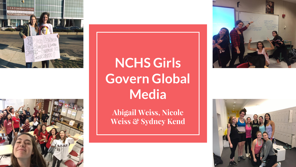



#### **NCHS Girls Govern Global Media**

**Abigail Weiss, Nicole Weiss & Sydney Kend**



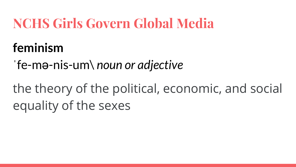#### **NCHS Girls Govern Global Media**

#### **feminism**

ˈfe-mə-nis-um\ *noun or adjective*

the theory of the political, economic, and social equality of the sexes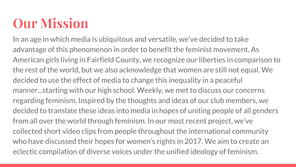### **Our Mission**

In an age in which media is ubiquitous and versatile, we've decided to take advantage of this phenomenon in order to benefit the feminist movement. As American girls living in Fairfield County, we recognize our liberties in comparison to the rest of the world, but we also acknowledge that women are still not equal. We decided to use the effect of media to change this inequality in a peaceful manner...starting with our high school. Weekly, we met to discuss our concerns regarding feminism. Inspired by the thoughts and ideas of our club members, we decided to translate these ideas into media in hopes of uniting people of all genders from all over the world through feminism. In our most recent project, we've collected short video clips from people throughout the international community who have discussed their hopes for women's rights in 2017. We aim to create an eclectic compilation of diverse voices under the unified ideology of feminism.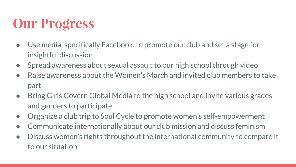#### **Our Progress**

- Use media, specifically Facebook, to promote our club and set a stage for insightful discussion
- Spread awareness about sexual assault to our high school through video
- Raise awareness about the Women's March and invited club members to take part
- Bring Girls Govern Global Media to the high school and invite various grades and genders to participate
- Organize a club trip to Soul Cycle to promote women's self-empowerment
- Communicate internationally about our club mission and discuss feminism
- Discuss women's rights throughout the international community to compare it to our situation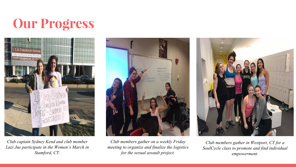#### **Our Progress**



*Club captain Sydney Kend and club member Luzi Jue participate in the Women's March in Stamford, CT.*



*Club members gather on a weekly Friday meeting to organize and finalize the logistics for the sexual assault project.* 



*Club members gather in Westport, CT for a SoulCycle class to promote and find individual empowerment.*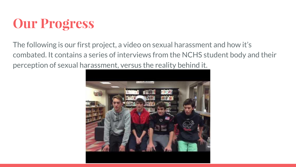#### **Our Progress**

The following is our first project, a video on sexual harassment and how it's combated. It contains a series of interviews from the NCHS student body and their perception of sexual harassment, versus the reality behind it.

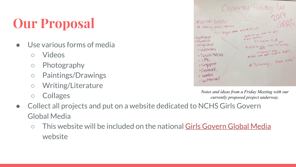## **Our Proposal**

- Use various forms of media
	- Videos
	- Photography
	- Paintings/Drawings
	- Writing/Literature
	- Collages

|                                                                                                                                                         | Christmas/Holiday Vid                                                                                                                                             |
|---------------------------------------------------------------------------------------------------------------------------------------------------------|-------------------------------------------------------------------------------------------------------------------------------------------------------------------|
| * SEMARO REHER<br>as zutting from avound<br>G Skype from Mount the war<br>,Scotland<br><b>PRUSSIA</b><br>$\neg \n\in \neg \mathcal{G}$ land<br>>Vretnam | $201 +$<br>COATO<br>What do you were not worked<br>in your society<br>La salution for A your<br>*) What do guys want for recently?<br>(2) Points + make at Rights |
| > Soudi Ardoia<br>> UAC<br>> Singapore<br>>Denmark<br>> Sweden<br>> Switzerland                                                                         | at) "Sincerely, their name"                                                                                                                                       |

*Notes and ideas from a Friday Meeting with our currently proposed project underway.*

- Collect all projects and put on a website dedicated to NCHS Girls Govern Global Media
	- This website will be included on the national [Girls Govern Global Media](http://globalgirlmedia.org/girls-govern/) website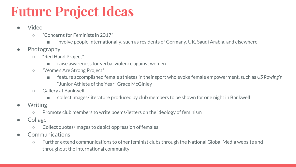## **Future Project Ideas**

- Video
	- "Concerns for Feminists in 2017"
		- involve people internationally, such as residents of Germany, UK, Saudi Arabia, and elsewhere
- Photography
	- "Red Hand Project"
		- raise awareness for verbal violence against women
	- "Women Are Strong Project"
		- feature accomplished female athletes in their sport who evoke female empowerment, such as *US Rowing's* "Junior Athlete of the Year" Grace McGinley
	- Gallery at Bankwell
		- collect images/literature produced by club members to be shown for one night in Bankwell
- **Writing** 
	- Promote club members to write poems/letters on the ideology of feminism
- Collage
	- Collect quotes/images to depict oppression of females
- Communications
	- Further extend communications to other feminist clubs through the National Global Media website and throughout the international community